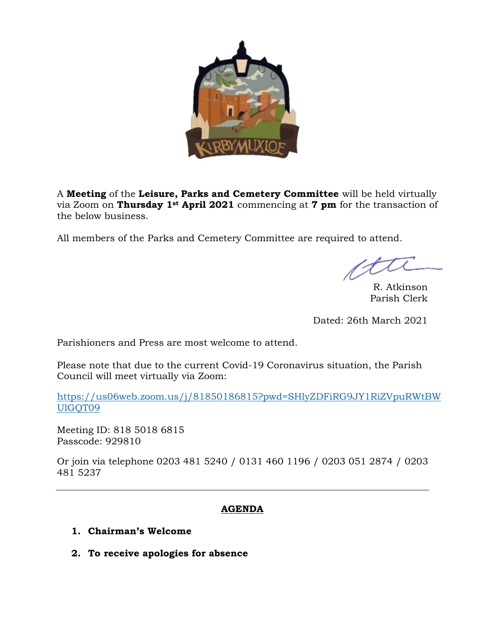

A **Meeting** of the **Leisure, Parks and Cemetery Committee** will be held virtually via Zoom on **Thursday 1st April 2021** commencing at **7 pm** for the transaction of the below business.

All members of the Parks and Cemetery Committee are required to attend.

R. Atkinson Parish Clerk

Dated: 26th March 2021

Parishioners and Press are most welcome to attend.

Please note that due to the current Covid-19 Coronavirus situation, the Parish Council will meet virtually via Zoom:

[https://us06web.zoom.us/j/81850186815?pwd=SHlyZDFiRG9JY1RiZVpuRWtBW](https://us06web.zoom.us/j/81850186815?pwd=SHlyZDFiRG9JY1RiZVpuRWtBWUlGQT09) [UlGQT09](https://us06web.zoom.us/j/81850186815?pwd=SHlyZDFiRG9JY1RiZVpuRWtBWUlGQT09)

Meeting ID: 818 5018 6815 Passcode: 929810

Or join via telephone 0203 481 5240 / 0131 460 1196 / 0203 051 2874 / 0203 481 5237

## **AGENDA**

- **1. Chairman's Welcome**
- **2. To receive apologies for absence**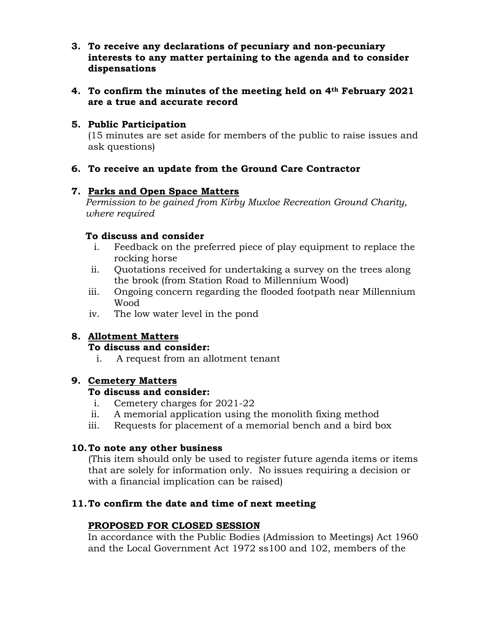**3. To receive any declarations of pecuniary and non-pecuniary interests to any matter pertaining to the agenda and to consider dispensations**

#### **4. To confirm the minutes of the meeting held on 4th February 2021 are a true and accurate record**

## **5. Public Participation**

(15 minutes are set aside for members of the public to raise issues and ask questions)

## **6. To receive an update from the Ground Care Contractor**

## **7. Parks and Open Space Matters**

*Permission to be gained from Kirby Muxloe Recreation Ground Charity, where required*

#### **To discuss and consider**

- i. Feedback on the preferred piece of play equipment to replace the rocking horse
- ii. Quotations received for undertaking a survey on the trees along the brook (from Station Road to Millennium Wood)
- iii. Ongoing concern regarding the flooded footpath near Millennium Wood
- iv. The low water level in the pond

## **8. Allotment Matters**

#### **To discuss and consider:**

i. A request from an allotment tenant

## **9. Cemetery Matters**

#### **To discuss and consider:**

- i. Cemetery charges for 2021-22
- ii. A memorial application using the monolith fixing method
- iii. Requests for placement of a memorial bench and a bird box

## **10.To note any other business**

(This item should only be used to register future agenda items or items that are solely for information only. No issues requiring a decision or with a financial implication can be raised)

## **11.To confirm the date and time of next meeting**

## **PROPOSED FOR CLOSED SESSION**

In accordance with the Public Bodies (Admission to Meetings) Act 1960 and the Local Government Act 1972 ss100 and 102, members of the